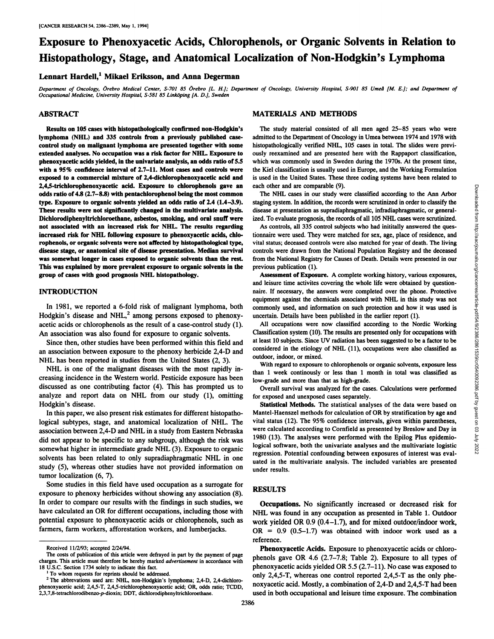# **Exposure to Phenoxyacetic Acids, Chiorophenols, or Organic Solvents in Relation to Histopathology, Stage, and Anatomical Localization of Non-Hodgkin's Lymphoma**

# Lennart Hardell,' Mikael Eriksson, and Anna Degerman

Department of Oncology, Örebro Medical Center, S-701 85 Örebro [L. H.]; Department of Oncology, University Hospital, S-901 85 Umeå [M. E.]; and Department of *Occupational Medicine, University Hospital, 5-581 85 LinkOping [A. D.J, Sweden*

### ABSTRACT

Results on 105 cases with histopathologically confirmed non-Hodgkin's **lymphoma (NHL) and 335 controls from a previously published case** control study on malignant lymphoma are presented together with some extended analyses. No occupation was a risk factor for NHL. Exposure to phenoxyacetic acids yielded, in the univariate analysis, an odds ratio of 5.5 **with a 95% confldence interval of 2.7—11. Most cases and controls were** exposed to a commercial mixture of 2,4-dichlorophenoxyacetic acid and 2,4,5-trichlorophenoxyacetic acid. Exposure to chlorophenols gave an odds ratio of  $4.8$  (2.7–8.8) with pentachlorophenol being the most common type. Exposure to organic solvents yielded an odds ratio of 2.4 (1.4—3.9). These results were not significantly changed in the multivariate analysis. Dichlorodiphenyltrichloroethane, asbestos, smoking, and oral snuff were **not associated with an increased risk for NHL. The results regarding** increased risk for NHL following exposure to phenoxyacetic acids, chlo rophenols, or organic solvents were not affected by histopathological type, disease stage, or anatomical site of disease presentation. Median survival was somewhat longer in cases exposed to organic solvents than the rest. This was explained by more prevalent exposure to organic solvents in the group of cases with good prognosis NHL histopathology.

### **INTRODUCTION**

In 1981, we reported a 6-fold risk of malignant lymphoma, both Hodgkin's disease and NHL, $^2$  among persons exposed to phenoxyacetic acids or chlorophenols as the result of a case-control study (1). An association was also found for exposure to organic solvents.

Since then, other studies have been performed within this field and an association between exposure to the phenoxy herbicide 2,4-D and NHL has been reported in studies from the United States (2, 3).

NHL is one of the malignant diseases with the most rapidly in creasing incidence in the Western world. Pesticide exposure has been discussed as one contributing factor (4). This has prompted us to analyze and report data on NHL from our study (1), omitting Hodgkin's disease.

In this paper, we also present risk estimates for different histopatho logical subtypes, stage, and anatomical localization of NHL. The association between 2,4-D and NHL in a study from Eastern Nebraska did not appear to be specific to any subgroup, although the risk was somewhat higher in intermediate grade NHL (3). Exposure to organic solvents has been related to only supradiaphragmatic NHL in one study (5), whereas other studies have not provided information on tumor localization (6,7).

Some studies in this field have used occupation as a surrogate for exposure to phenoxy herbicides without showing any association (8). In order to compare our results with the findings in such studies, we have calculated an OR for different occupations, including those with potential exposure to phenoxyacetic acids or chlorophenols, such as farmers, farm workers, afforestation workers, and lumberjacks.

# MATERIALS AND METHODS

The study material consisted of all men aged 25-85 years who were admitted to the Department of Oncology in Umea between 1974 and 1978 with histopathologically verified NHL, 105 cases in total. The slides were previ **ously reexamined and are presented here with the Rappaport classification,** which was commonly used in Sweden during the 1970s. At the present time, the Kid classification is usually used in Europe, and the Working Formulation is used in the United States. These three coding systems have been related to each other and are comparable (9).

staging system. In addition, the records were scrutinized in order to classify the disease at presentation as supradiaphragmatic, infradiaphragmatic, or general ized. To evaluate prognosis, the records of all 105 NHL cases were scrutinized.

As controls, all 335 control subjects who had inititally answered the ques tionnaire were used. They were matched for sex, age, place of residence, and **vital status; deceased controls were also matched for year of death. The living** controls were drawn from the National Population Registry and the deceased from the National Registry for Causes of Death. Details were presented in our previous publication (1).

Assessment of Exposure. A complete working history, various exposures, and leisure time activites covering the whole life were obtained by question naire. If necessary, the answers were completed over the phone. Protective equipment against the chemicals associated with NHL in this study was not commonly used, and information on such protection and how it was used is uncertain. Details have been published in the earlier report (1).

All occupations were now classified according to the Nordic Working Classification system (10). The results are presented only for occupations with at least 10 subjects. Since UV radiation has been suggested to be a factor to be considered in the etiology of NHL (11), occupations were also classified as outdoor, indoor, or mixed.

With regard to exposure to chlorophenols or organic solvents, exposure less than 1 week continously or less than 1 month in total was classified as low-grade and more than that as high-grade.

Overall survival was analyzed for the cases. Calculations were performed for exposed and unexposed cases separately.

n other and recomparable (9).<br>The NHL cases in our study were classified according to the Ann Arbor<br>
The NHL cases in posturalization as supradiappramentic, infracting<br>matrix-core assumentiation as supradiappramentic, that Statistical Methods. The statistical analyses of the data were based on Mantel-Haenszel methods for calculation of OR by stratification by age and vital status (12). The 95% confidence intervals, given within parentheses, were calculated according to Cornfield as presented by Breslow and Day in 1980 (13). The analyses were performed with the Epilog Plus epidemio logical software, both the univariate analyses and the multivariate logistic regression. Potential confounding between exposures of interest was eval uated in the multivariate analysis. The included variables are presented **under results.**

## **RESULTS**

**Occupations. No significantly increased or decreased risk for** NHL was found in any occupation as presented in Table 1. Outdoor work yielded OR  $0.9$  (0.4–1.7), and for mixed outdoor/indoor work,  $OR = 0.9$   $(0.5-1.7)$  was obtained with indoor work used as a reference.

**Phenoxyacetic Acids. Exposure to phenoxyacetic acids or chioro** phenols gave OR 4.6  $(2.7-7.8;$  Table 2). Exposure to all types of phenoxyacetic acids yielded OR 5.5  $(2.7-11)$ . No case was exposed to only 2,4,5-T, whereas one control reported 2,4,5-T as the only phe noxyacetic acid. Mostly, a combination of 2,4-D and 2,4,5-T had been used in both occupational and leisure time exposure. The combination

Received 11/2/93; accepted 2/24/94.

**The costs of publication of this article were defrayed in part by the payment of page** charges. This article must therefore be hereby marked advertisement in accordance with 18 U.S.C. Section 1734 solely to indicate this fact.

**I To whom requests for reprints should be addressed.**

**<sup>2</sup> The abbrevations used are: NHI, non-Hodgkin's lymphoma; 2,4-D, 2,4-dichloro** phenoxyacetic acid; 2,4,5-T, 2,4,5-trichlorophenoxyacetic acid; OR, odds ratio; TCDD, 2,3,7,8-tetrachlorodibenzo-p-dioxin; DDT, dichlorodiphenyltrichloroethane.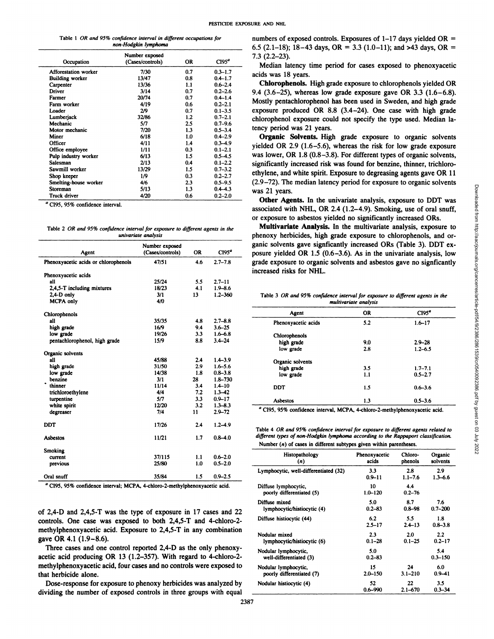|  |  | Table 1 OR and 95% confidence interval in different occupations for |  |
|--|--|---------------------------------------------------------------------|--|
|  |  | non-Hodgkin lymphoma                                                |  |

| Number exposed<br>$7.3(2.2-23).$<br>CI95 <sup>a</sup><br>(Cases/controls)<br>0R<br>Occupation<br>Median latency time pe<br>0.7<br>$0.3 - 1.7$<br><b>Afforestation worker</b><br>7/30<br>acids was 18 years.<br>0.8<br><b>Building worker</b><br>13/47<br>$0.4 - 1.7$<br>Chlorophenols. High gr<br>13/36<br>1.1<br>$0.6 - 2.4$<br>Carpenter<br>0.7<br>Driver<br>3/14<br>$0.2 - 2.6$<br>9.4 $(3.6-25)$ , whereas low<br>0.7<br>20/74<br>$0.4 - 1.4$<br>Farmer<br>Mostly pentachlorophenol<br>4/19<br>0.6<br>$0.2 - 2.1$<br>Farm worker<br>exposure produced OR 8<br>0.7<br>2/9<br>$0.1 - 3.5$<br>Loader<br>1.2<br>Lumberjack<br>32/86<br>$0.7 - 2.1$<br>chlorophenol exposure cou<br>5/7<br>Mechanic<br>2.5<br>$0.7 - 9.6$<br>tency period was 21 years.<br>1.3<br>Motor mechanic<br>7/20<br>$0.5 - 3.4$<br><b>Organic Solvents. Hight</b><br>Miner<br>6/18<br>1.0<br>$0.4 - 2.9$<br>Officer<br>4/11<br>1.4<br>$0.3 - 4.9$<br>yielded OR 2.9 (1.6–5.6),<br>0.3<br>Office employee<br>$0.1 - 2.1$<br>1/11<br>was lower, OR 1.8 (0.8-3.<br>6/13<br>Pulp industry worker<br>1.5<br>$0.5 - 4.5$<br>2/13<br>0.4<br>Salesman<br>$0.1 - 2.2$<br>Sawmill worker<br>13/29<br>$0.7 - 3.2$<br>1.5<br>ethylene, and white spirit. I<br>1/9<br>0.3<br>Shop keeper<br>$0.2 - 2.7$<br>$(2.9-72)$ . The median later<br>2.3<br>Smelting-house worker<br>$0.5 - 9.5$<br>4/6<br>5/13<br>1.3<br>$0.4 - 4.3$<br><b>Storeman</b><br>was 21 years.<br>Truck driver<br>4/20<br>0.6<br>$0.2 - 2.0$ |  |  | 0.3 (2.1–10), 10–43 days,    |
|--------------------------------------------------------------------------------------------------------------------------------------------------------------------------------------------------------------------------------------------------------------------------------------------------------------------------------------------------------------------------------------------------------------------------------------------------------------------------------------------------------------------------------------------------------------------------------------------------------------------------------------------------------------------------------------------------------------------------------------------------------------------------------------------------------------------------------------------------------------------------------------------------------------------------------------------------------------------------------------------------------------------------------------------------------------------------------------------------------------------------------------------------------------------------------------------------------------------------------------------------------------------------------------------------------------------------------------------------------------------------------------------------------------------------------------------------------------------------|--|--|------------------------------|
|                                                                                                                                                                                                                                                                                                                                                                                                                                                                                                                                                                                                                                                                                                                                                                                                                                                                                                                                                                                                                                                                                                                                                                                                                                                                                                                                                                                                                                                                          |  |  |                              |
|                                                                                                                                                                                                                                                                                                                                                                                                                                                                                                                                                                                                                                                                                                                                                                                                                                                                                                                                                                                                                                                                                                                                                                                                                                                                                                                                                                                                                                                                          |  |  |                              |
|                                                                                                                                                                                                                                                                                                                                                                                                                                                                                                                                                                                                                                                                                                                                                                                                                                                                                                                                                                                                                                                                                                                                                                                                                                                                                                                                                                                                                                                                          |  |  |                              |
|                                                                                                                                                                                                                                                                                                                                                                                                                                                                                                                                                                                                                                                                                                                                                                                                                                                                                                                                                                                                                                                                                                                                                                                                                                                                                                                                                                                                                                                                          |  |  |                              |
|                                                                                                                                                                                                                                                                                                                                                                                                                                                                                                                                                                                                                                                                                                                                                                                                                                                                                                                                                                                                                                                                                                                                                                                                                                                                                                                                                                                                                                                                          |  |  |                              |
|                                                                                                                                                                                                                                                                                                                                                                                                                                                                                                                                                                                                                                                                                                                                                                                                                                                                                                                                                                                                                                                                                                                                                                                                                                                                                                                                                                                                                                                                          |  |  |                              |
|                                                                                                                                                                                                                                                                                                                                                                                                                                                                                                                                                                                                                                                                                                                                                                                                                                                                                                                                                                                                                                                                                                                                                                                                                                                                                                                                                                                                                                                                          |  |  |                              |
|                                                                                                                                                                                                                                                                                                                                                                                                                                                                                                                                                                                                                                                                                                                                                                                                                                                                                                                                                                                                                                                                                                                                                                                                                                                                                                                                                                                                                                                                          |  |  |                              |
|                                                                                                                                                                                                                                                                                                                                                                                                                                                                                                                                                                                                                                                                                                                                                                                                                                                                                                                                                                                                                                                                                                                                                                                                                                                                                                                                                                                                                                                                          |  |  |                              |
|                                                                                                                                                                                                                                                                                                                                                                                                                                                                                                                                                                                                                                                                                                                                                                                                                                                                                                                                                                                                                                                                                                                                                                                                                                                                                                                                                                                                                                                                          |  |  |                              |
|                                                                                                                                                                                                                                                                                                                                                                                                                                                                                                                                                                                                                                                                                                                                                                                                                                                                                                                                                                                                                                                                                                                                                                                                                                                                                                                                                                                                                                                                          |  |  |                              |
|                                                                                                                                                                                                                                                                                                                                                                                                                                                                                                                                                                                                                                                                                                                                                                                                                                                                                                                                                                                                                                                                                                                                                                                                                                                                                                                                                                                                                                                                          |  |  |                              |
|                                                                                                                                                                                                                                                                                                                                                                                                                                                                                                                                                                                                                                                                                                                                                                                                                                                                                                                                                                                                                                                                                                                                                                                                                                                                                                                                                                                                                                                                          |  |  |                              |
|                                                                                                                                                                                                                                                                                                                                                                                                                                                                                                                                                                                                                                                                                                                                                                                                                                                                                                                                                                                                                                                                                                                                                                                                                                                                                                                                                                                                                                                                          |  |  |                              |
|                                                                                                                                                                                                                                                                                                                                                                                                                                                                                                                                                                                                                                                                                                                                                                                                                                                                                                                                                                                                                                                                                                                                                                                                                                                                                                                                                                                                                                                                          |  |  |                              |
|                                                                                                                                                                                                                                                                                                                                                                                                                                                                                                                                                                                                                                                                                                                                                                                                                                                                                                                                                                                                                                                                                                                                                                                                                                                                                                                                                                                                                                                                          |  |  | significantly increased risk |
|                                                                                                                                                                                                                                                                                                                                                                                                                                                                                                                                                                                                                                                                                                                                                                                                                                                                                                                                                                                                                                                                                                                                                                                                                                                                                                                                                                                                                                                                          |  |  |                              |
|                                                                                                                                                                                                                                                                                                                                                                                                                                                                                                                                                                                                                                                                                                                                                                                                                                                                                                                                                                                                                                                                                                                                                                                                                                                                                                                                                                                                                                                                          |  |  |                              |
|                                                                                                                                                                                                                                                                                                                                                                                                                                                                                                                                                                                                                                                                                                                                                                                                                                                                                                                                                                                                                                                                                                                                                                                                                                                                                                                                                                                                                                                                          |  |  |                              |
|                                                                                                                                                                                                                                                                                                                                                                                                                                                                                                                                                                                                                                                                                                                                                                                                                                                                                                                                                                                                                                                                                                                                                                                                                                                                                                                                                                                                                                                                          |  |  |                              |
|                                                                                                                                                                                                                                                                                                                                                                                                                                                                                                                                                                                                                                                                                                                                                                                                                                                                                                                                                                                                                                                                                                                                                                                                                                                                                                                                                                                                                                                                          |  |  | Other Agents In the u        |

<sup>a</sup> CI95, 95% confidence interval.

|                     |  |  |  |  |  | Table 2 OR and 95% confidence interval for exposure to different agents in the |
|---------------------|--|--|--|--|--|--------------------------------------------------------------------------------|
| univariate analysis |  |  |  |  |  |                                                                                |

|                                      | Number exposed   |           |             |
|--------------------------------------|------------------|-----------|-------------|
| Agent                                | (Cases/controls) | <b>OR</b> | $C195^a$    |
| Phenoxyacetic acids or chlorophenols | 47/51            | 4.6       | $2.7 - 7.8$ |
|                                      |                  |           |             |
| Phenoxyacetic acids                  |                  |           |             |
| all                                  | 25/24            | 5.5       | $2.7 - 11$  |
| 2,4,5-T including mixtures           | 18/23            | 4.1       | $1.9 - 8.6$ |
| 2,4-D only                           | 3/1              | 13        | $1.2 - 360$ |
| <b>MCPA only</b>                     | 4/0              |           |             |
| Chlorophenols                        |                  |           |             |
| all                                  | 35/35            | 4.8       | $2.7 - 8.8$ |
| high grade                           | 16/9             | 9.4       | $3.6 - 25$  |
| low grade                            | 19/26            | 3.3       | $1.6 - 6.8$ |
| pentachlorophenol, high grade        | 15/9             | 8.8       | $3.4 - 24$  |
| Organic solvents                     |                  |           |             |
| all                                  | 45/88            | 2.4       | $1.4 - 3.9$ |
| high grade                           | 31/50            | 2.9       | $1.6 - 5.6$ |
| low grade                            | 14/38            | 1.8       | $0.8 - 3.8$ |
| benzine                              | 3/1              | 28        | $1.8 - 730$ |
| thinner                              | 11/14            | 3.4       | $1.4 - 10$  |
| trichloroethylene                    | 4/4              | 7.2       | $1.3 - 42$  |
| turpentine                           | 5/7              | 3.3       | $0.9 - 17$  |
| white spirit                         | 12/20            | 3.2       | $1.3 - 8.3$ |
| degreaser                            | 7/4              | 11        | $2.9 - 72$  |
|                                      |                  |           |             |
| <b>DDT</b>                           | 17/26            | 2.4       | $1.2 - 4.9$ |
| Asbestos                             | 11/21            | 1.7       | $0.8 - 4.0$ |
| <b>Smoking</b>                       |                  |           |             |
| current                              | 37/115           | 1.1       | $0.6 - 2.0$ |
| previous                             | 25/80            | 1.0       | $0.5 - 2.0$ |
| Oral snuff                           | 35/84            | 1.5       | $0.9 - 2.5$ |

C195, 95% confidence interval; MCPA, 4-chloro-2-methylphenoxyacetic acid.

of 2,4-D and 2,4,5-T was the type of exposure in 17 cases and 22 controls. One case was exposed to both 2,4,5-T and 4-chloro-2 methylphenoxyacetic acid. Exposure to 2,4,5-T in any combination gave OR 4.1 (1.9—8.6).

Three cases and one control reported 2,4-D as the only phenoxy acetic acid producing OR 13 (1.2-357). With regard to 4-chloro-2methylphenoxyacetic acid, four cases and no controls were exposed to that herbicide alone.

Dose-response for exposure to phenoxy herbicides was analyzed by dividing the number of exposed controls in three groups with equal numbers of exposed controls. Exposures of  $1-17$  days yielded OR =  $6.5$  (2.1–18);  $18-43$  days,  $OR = 3.3$  (1.0–11); and  $>43$  days,  $OR =$ 7.3 (2.2—23).

Median latency time period for cases exposed to phenoxyacetic acids was 18 years.

**Chlorophenols. High grade exposure to chlorophenols yielded OR** 9.4 (3.6–25), whereas low grade exposure gave OR 3.3 (1.6–6.8).  $F_{\text{arm}}$  worker and high grade  $F_{\text{atm}}$  and  $F_{\text{atm}}$  and  $F_{\text{atm}}$  and  $F_{\text{atm}}$  and  $F_{\text{atm}}$  and  $F_{\text{atm}}$  and  $F_{\text{atm}}$  and  $F_{\text{atm}}$  and  $F_{\text{atm}}$  and  $F_{\text{atm}}$  and  $F_{\text{atm}}$  and  $F_{\text{atm}}$  and  $F_{\text{atm}}$ exposure produced OR  $8.8$  (3.4-24). One case with high grade chiorophenol exposure could not specify the type used. Median la tency period was 21 years.

> Organic Solvents. High grade exposure to organic solvents yielded OR 2.9 (1.6–5.6), whereas the risk for low grade exposure was lower, OR  $1.8$  (0.8–3.8). For different types of organic solvents, significantly increased risk was found for benzine, thinner, trichloro ethylene, and white spirit. Exposure to degreasing agents gave OR 11 (2.9—72). The median latency period for exposure to organic solvents was 21 years.

#### Table 3 OR and 95% confidence interval for exposure to different agents in the *multivariate analysis*

| ade exposure to organic solvents and asbestos gave no signficantly<br>creased risks for NHL. |                                    | inic solvents gave signficantly increased ORs (Table 3). DDT ex-<br>osure yielded OR $1.5$ (0.6–3.6). As in the univariate analysis, low |
|----------------------------------------------------------------------------------------------|------------------------------------|------------------------------------------------------------------------------------------------------------------------------------------|
| Table 3 OR and 95% confidence interval for exposure to different agents in the<br>Agent      | multivariate analysis<br><b>OR</b> | C195 <sup>a</sup>                                                                                                                        |
| Phenoxyacetic acids                                                                          | 5.2                                | $1.6 - 17$                                                                                                                               |
|                                                                                              |                                    |                                                                                                                                          |
| Chlorophenols                                                                                |                                    |                                                                                                                                          |
| high grade                                                                                   | 9.0                                | $2.9 - 28$                                                                                                                               |
| low grade                                                                                    | 2.8                                | $1.2 - 6.5$                                                                                                                              |
|                                                                                              |                                    |                                                                                                                                          |
| Organic solvents                                                                             |                                    |                                                                                                                                          |
| high grade                                                                                   | 3.5                                | $1.7 - 7.1$                                                                                                                              |
| low grade                                                                                    | 1.1                                | $0.5 - 2.7$                                                                                                                              |
| <b>DDT</b>                                                                                   | 1.5                                | $0.6 - 3.6$                                                                                                                              |
| <b>Asbestos</b>                                                                              | 1.3                                | $0.5 - 3.6$                                                                                                                              |

**Table 4 OR and 95% confidence intervalfor exposure to different agents related to** *different types of non-Hodgkin lymphoina according to the Rappaport classification.* Number (n) of cases in different subtypes given within parentheses.

| Histopathology                        | Phenoxyacetic | Chloro-     | Organic     |
|---------------------------------------|---------------|-------------|-------------|
| (n)                                   | acids         | phenols     | solvents    |
| Lymphocytic, well-differentiated (32) | 3.3           | 2.8         | 2.9         |
|                                       | $0.9 - 11$    | $1.1 - 7.6$ | $1.3 - 6.6$ |
| Diffuse lymphocytic,                  | 10            | 4.4         |             |
| poorly differentiated (5)             | $1.0 - 120$   | $0.2 - 76$  |             |
| Diffuse mixed                         | 5.0           | 8.7         | 7.6         |
| lymphocytic/histiocytic (4)           | $0.2 - 83$    | $0.8 - 98$  | $0.7 - 200$ |
| Diffuse histiocytic (44)              | 6.2           | 5.5         | 1.8         |
|                                       | $2.5 - 17$    | $2.4 - 13$  | $0.8 - 3.8$ |
| Nodular mixed                         | 2.3           | 2.0         | 2.2         |
| lymphocytic/histiocytic (6)           | $0.1 - 28$    | $0.1 - 25$  | $0.2 - 17$  |
| Nodular lymphocytic,                  | 5.0           |             | 5.4         |
| well-differentiated (3)               | $0.2 - 83$    |             | $0.3 - 150$ |
| Nodular lymphocytic,                  | 15            | 24          | 6.0         |
| poorly differentiated (7)             | $2.0 - 150$   | $3.1 - 210$ | $0.9 - 41$  |
| Nodular histiocytic (4)               | 52            | 22          | 3.5         |
|                                       | 0.6–990       | $2.1 - 670$ | $0.3 - 34$  |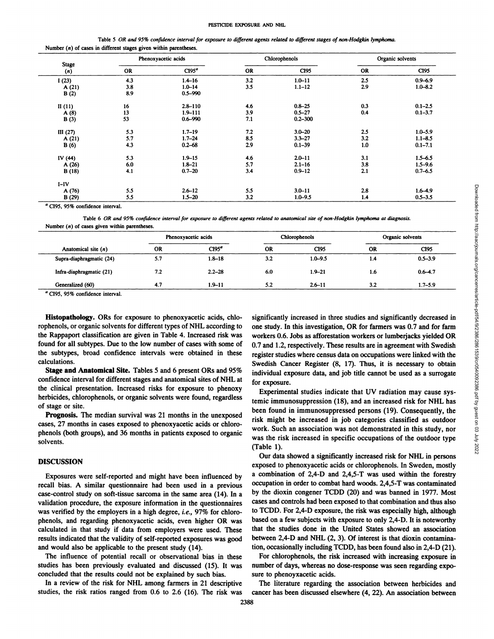|                                                                     |  |  | Table 5 OR and 95% confidence interval for exposure to different agents related to different stages of non-Hodgkin lymphoma. |  |
|---------------------------------------------------------------------|--|--|------------------------------------------------------------------------------------------------------------------------------|--|
| Number $(n)$ of cases in different stages given within parentheses. |  |  |                                                                                                                              |  |

|              | Phenoxyacetic acids |                   |     | Chlorophenols |     | Organic solvents |
|--------------|---------------------|-------------------|-----|---------------|-----|------------------|
| Stage<br>(n) | <b>OR</b>           | CI95 <sup>a</sup> | OR  | CI95          | OR  | CI95             |
| 1(23)        | 4.3                 | $1.4 - 16$        | 3.2 | $1.0 - 11$    | 2.5 | $0.9 - 6.9$      |
| A(21)        | 3.8                 | $1.0 - 14$        | 3.5 | $1.1 - 12$    | 2.9 | $1.0 - 8.2$      |
| B(2)         | 8.9                 | $0.5 - 990$       |     |               |     |                  |
| II $(11)$    | 16                  | $2.8 - 110$       | 4.6 | $0.8 - 25$    | 0.3 | $0.1 - 2.5$      |
| A(8)         | 13                  | $1.9 - 111$       | 3.9 | $0.5 - 27$    | 0.4 | $0.1 - 3.7$      |
| B(3)         | 53                  | $0.6 - 990$       | 7.1 | $0.2 - 300$   |     |                  |
| III $(27)$   | 5.3                 | $1.7 - 19$        | 7.2 | $3.0 - 20$    | 2.5 | $1.0 - 5.9$      |
| A(21)        | 5.7                 | $1.7 - 24$        | 8.5 | $3.3 - 27$    | 3.2 | $1.1 - 8.5$      |
| B(6)         | 4.3                 | $0.2 - 68$        | 2.9 | $0.1 - 39$    | 1.0 | $0.1 - 7.1$      |
| IV $(44)$    | 5.3                 | $1.9 - 15$        | 4.6 | $2.0 - 11$    | 3.1 | $1.5 - 6.5$      |
| A(26)        | 6.0                 | $1.8 - 21$        | 5.7 | $2.1 - 16$    | 3.8 | $1.5 - 9.6$      |
| B(18)        | 4.1                 | $0.7 - 20$        | 3.4 | $0.9 - 12$    | 2.1 | $0.7 - 6.5$      |
| $I-IV$       |                     |                   |     |               |     |                  |
| A (76)       | 5.5                 | $2.6 - 12$        | 5.5 | $3.0 - 11$    | 2.8 | $1.6 - 4.9$      |
| B(29)        | 5.5                 | $1.5 - 20$        | 3.2 | $1.0 - 9.5$   | 1.4 | $0.5 - 3.5$      |

<sup>a</sup> CI95, 95% confidence interval.

Table 6 OR and 95% confidence interval for exposure to different agents related to anatomical site of non-Hodgkin lymphoma at diagnosis. Number  $(n)$  of cases given within parentheses.

|                          | Phenoxyacetic acids |                   |           | Chlorophenols    | Organic solvents |                  |
|--------------------------|---------------------|-------------------|-----------|------------------|------------------|------------------|
| Anatomical site $(n)$    | <b>OR</b>           | CI95 <sup>a</sup> | <b>OR</b> | C <sub>195</sub> | <b>OR</b>        | C <sub>195</sub> |
| Supra-diaphragmatic (24) | 5.7                 | $1.8 - 18$        | 3.2       | $1.0 - 9.5$      | 1.4              | $0.5 - 3.9$      |
| Infra-diaphragmatic (21) | 7.2                 | $2.2 - 28$        | 6.0       | $1.9 - 21$       | 1.6              | $0.6 - 4.7$      |
| Generalized (60)         | 4.7                 | $1.9 - 11$        | 5.2       | $2.6 - 11$       | 3.2              | 1.7–5.9          |

CI95, 95% confidence interval.

Histopathology. ORs for exposure to phenoxyacetic acids, chlorophenols, or organic solvents for different types of NHL according to the Rappaport classification are given in Table 4. Increased risk was found for all subtypes. Due to the low number of cases with some of the subtypes, broad confidence intervals were obtained in these calculations.

Stage and Anatomical Site. Tables 5 and 6 present ORs and 95% confidence interval for different stages and anatomical sites of NHL at the clinical presentation. Increased risks for exposure to phenoxy herbicides, chlorophenols, or organic solvents were found, regardless of stage or site.

Prognosis. The median survival was 21 months in the unexposed cases, 27 months in cases exposed to phenoxyacetic acids or chloro phenols (both groups), and 36 months in patients exposed to organic solvents.

# **DISCUSSION**

Exposures were self-reported and might have been influenced by recall bias. A similar questionnaire had been used in a previous case-control study on soft-tissue sarcoma in the same area (14). In a validation procedure, the exposure information in the questionnaires was verified by the employers in a high degree, i.e., 97% for chlorophenols, and regarding phenoxyacetic acids, even higher OR was calculated in that study if data from employers were used. These results indicated that the validity of self-reported exposures was good and would also be applicable to the present study (14).

The influence of potential recall or observational bias in these studies has been previously evaluated and discussed (15). It was concluded that the results could not be explained by such bias.

**In a review of the risk for NHL among farmers in 21 descriptive** studies, the risk ratios ranged from 0.6 to 2.6 (16). The risk was

significantly increased in three studies and significantly decreased in the studies and significantly increased in three studies and significantly decreased in the studies and significantly decreased in the studies and si one study. In this investigation, OR for farmers was 0.7 and for farm **workers 0.6. Jobs as afforestation workers or lumberjacks yielded OR** 0.7 and 1.2, respectively. These results are in agreement with Swedish register studies where census data on occupations were linked with the Swedish Cancer Register (8, 17). Thus, it is necessary to obtain individual exposure data, and job title cannot be used as a surrogate for exposure.

Experimental studies indicate that UV radiation may cause sys temic immunosuppression (18), and an increased risk for NHL has been found in immunosuppressed persons (19). Consequently, the risk might be increased in job categories classified as outdoor work. Such an association was not demonstrated in this study, nor was the risk increased in specific occupations of the outdoor type (Table 1).

**Our data showed a significantly increased risk for NHL in persons** exposed to phenoxyacetic acids or chlorophenols. In Sweden, mostly a combination of 2,4-D and 2,4,5-T was used within the forestry occupation in order to combat hard woods. 2,4,5-T was contaminated by the dioxin congener TCDD (20) and was banned in 1977. Most cases and controls had been exposed to that combination and thus also to TCDD. For 2,4-D exposure, the risk was especially high, although based on a few subjects with exposure to only 2,4-D. It is noteworthy that the studies done in the United States showed an association between 2,4-D and NHL (2, 3). Of interest is that dioxin contamina tion, occasionally including TCDD, has been found also in 2,4-D (21).

For chiorophenols, the risk increased with increasing exposure in number of days, whereas no dose-response was seen regarding expo sure to phenoyxacetic acids.

The literature regarding the association between herbicides and cancer has been discussed elsewhere (4, 22). An association between